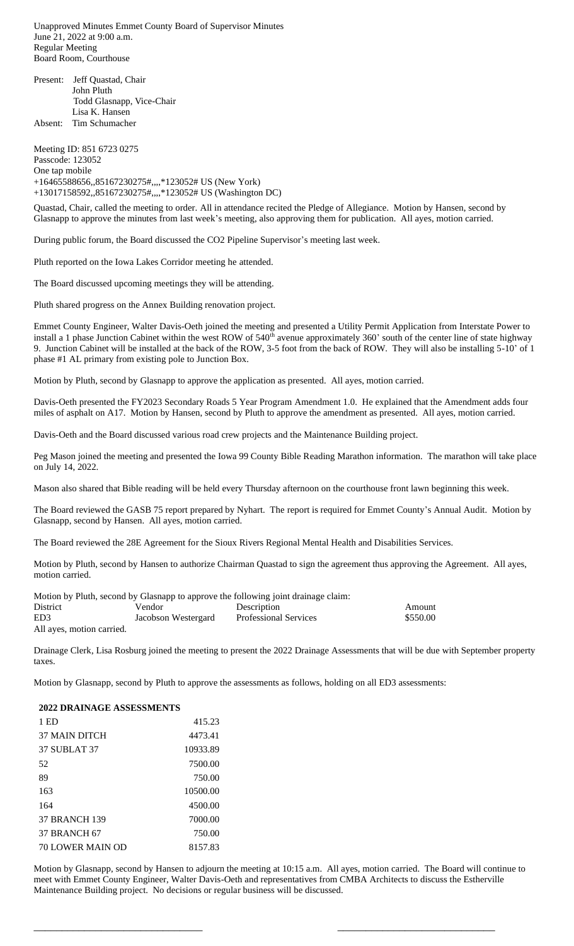Unapproved Minutes Emmet County Board of Supervisor Minutes June 21, 2022 at 9:00 a.m. Regular Meeting Board Room, Courthouse

Present: Jeff Quastad, Chair John Pluth Todd Glasnapp, Vice-Chair Lisa K. Hansen Absent: Tim Schumacher

Meeting ID: 851 6723 0275 Passcode: 123052 One tap mobile +16465588656,,85167230275#,,,,\*123052# US (New York) +13017158592,,85167230275#,,,,\*123052# US (Washington DC)

Quastad, Chair, called the meeting to order. All in attendance recited the Pledge of Allegiance. Motion by Hansen, second by Glasnapp to approve the minutes from last week's meeting, also approving them for publication. All ayes, motion carried.

During public forum, the Board discussed the CO2 Pipeline Supervisor's meeting last week.

Pluth reported on the Iowa Lakes Corridor meeting he attended.

The Board discussed upcoming meetings they will be attending.

Pluth shared progress on the Annex Building renovation project.

Emmet County Engineer, Walter Davis-Oeth joined the meeting and presented a Utility Permit Application from Interstate Power to install a 1 phase Junction Cabinet within the west ROW of 540<sup>th</sup> avenue approximately 360' south of the center line of state highway 9. Junction Cabinet will be installed at the back of the ROW, 3-5 foot from the back of ROW. They will also be installing 5-10' of 1 phase #1 AL primary from existing pole to Junction Box.

Motion by Pluth, second by Glasnapp to approve the application as presented. All ayes, motion carried.

Davis-Oeth presented the FY2023 Secondary Roads 5 Year Program Amendment 1.0. He explained that the Amendment adds four miles of asphalt on A17. Motion by Hansen, second by Pluth to approve the amendment as presented. All ayes, motion carried.

Davis-Oeth and the Board discussed various road crew projects and the Maintenance Building project.

Peg Mason joined the meeting and presented the Iowa 99 County Bible Reading Marathon information. The marathon will take place on July 14, 2022.

Mason also shared that Bible reading will be held every Thursday afternoon on the courthouse front lawn beginning this week.

The Board reviewed the GASB 75 report prepared by Nyhart. The report is required for Emmet County's Annual Audit. Motion by Glasnapp, second by Hansen. All ayes, motion carried.

The Board reviewed the 28E Agreement for the Sioux Rivers Regional Mental Health and Disabilities Services.

Motion by Pluth, second by Hansen to authorize Chairman Quastad to sign the agreement thus approving the Agreement. All ayes, motion carried.

|                           |                     | Motion by Pluth, second by Glasnapp to approve the following joint drainage claim: |          |
|---------------------------|---------------------|------------------------------------------------------------------------------------|----------|
| <b>District</b>           | Vendor              | Description                                                                        | Amount   |
| ED <sub>3</sub>           | Jacobson Westergard | <b>Professional Services</b>                                                       | \$550.00 |
| All ayes, motion carried. |                     |                                                                                    |          |

Drainage Clerk, Lisa Rosburg joined the meeting to present the 2022 Drainage Assessments that will be due with September property taxes.

Motion by Glasnapp, second by Pluth to approve the assessments as follows, holding on all ED3 assessments:

**2022 DRAINAGE ASSESSMENTS**

| 1 ED                    | 415.23   |
|-------------------------|----------|
| <b>37 MAIN DITCH</b>    | 4473.41  |
| <b>37 SUBLAT 37</b>     | 10933.89 |
| 52                      | 7500.00  |
| 89                      | 750.00   |
| 163                     | 10500.00 |
| 164                     | 4500.00  |
| <b>37 BRANCH 139</b>    | 7000.00  |
| <b>37 BRANCH 67</b>     | 750.00   |
| <b>70 LOWER MAIN OD</b> | 8157.83  |

Motion by Glasnapp, second by Hansen to adjourn the meeting at 10:15 a.m. All ayes, motion carried. The Board will continue to meet with Emmet County Engineer, Walter Davis-Oeth and representatives from CMBA Architects to discuss the Estherville Maintenance Building project. No decisions or regular business will be discussed.

 $\overline{\phantom{a}}$  , and the contract of the contract of the contract of the contract of the contract of the contract of the contract of the contract of the contract of the contract of the contract of the contract of the contrac